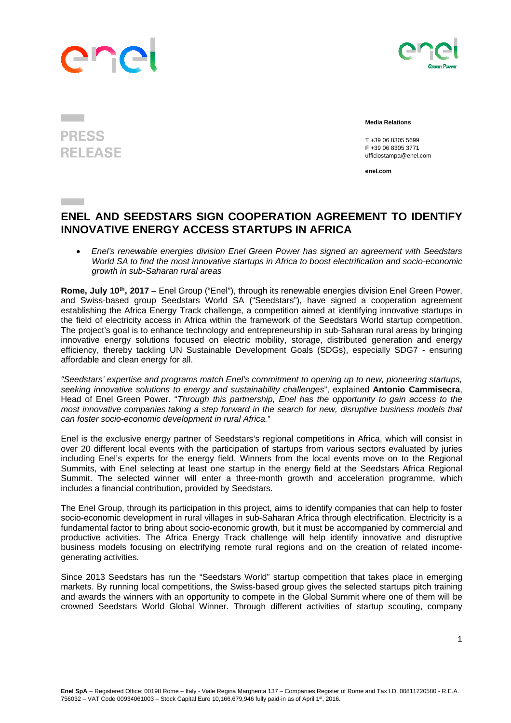## ane



## **PRESS RELEASE**

 **Media Relations** 

 T +39 06 8305 5699 F +39 06 8305 3771 ufficiostampa@enel.com

**enel.com**

## **ENEL AND SEEDSTARS SIGN COOPERATION AGREEMENT TO IDENTIFY INNOVATIVE ENERGY ACCESS STARTUPS IN AFRICA**

 *Enel's renewable energies division Enel Green Power has signed an agreement with Seedstars World SA to find the most innovative startups in Africa to boost electrification and socio-economic growth in sub-Saharan rural areas* 

Rome, July 10<sup>th</sup>, 2017 – Enel Group ("Enel"), through its renewable energies division Enel Green Power, and Swiss-based group Seedstars World SA ("Seedstars"), have signed a cooperation agreement establishing the Africa Energy Track challenge, a competition aimed at identifying innovative startups in the field of electricity access in Africa within the framework of the Seedstars World startup competition. The project's goal is to enhance technology and entrepreneurship in sub-Saharan rural areas by bringing innovative energy solutions focused on electric mobility, storage, distributed generation and energy efficiency, thereby tackling UN Sustainable Development Goals (SDGs), especially SDG7 - ensuring affordable and clean energy for all.

*"Seedstars' expertise and programs match Enel's commitment to opening up to new, pioneering startups, seeking innovative solutions to energy and sustainability challenges*", explained **Antonio Cammisecra**, Head of Enel Green Power. "*Through this partnership, Enel has the opportunity to gain access to the most innovative companies taking a step forward in the search for new, disruptive business models that can foster socio-economic development in rural Africa.*"

Enel is the exclusive energy partner of Seedstars's regional competitions in Africa, which will consist in over 20 different local events with the participation of startups from various sectors evaluated by juries including Enel's experts for the energy field. Winners from the local events move on to the Regional Summits, with Enel selecting at least one startup in the energy field at the Seedstars Africa Regional Summit. The selected winner will enter a three-month growth and acceleration programme, which includes a financial contribution, provided by Seedstars.

The Enel Group, through its participation in this project, aims to identify companies that can help to foster socio-economic development in rural villages in sub-Saharan Africa through electrification. Electricity is a fundamental factor to bring about socio-economic growth, but it must be accompanied by commercial and productive activities. The Africa Energy Track challenge will help identify innovative and disruptive business models focusing on electrifying remote rural regions and on the creation of related incomegenerating activities.

Since 2013 Seedstars has run the "Seedstars World" startup competition that takes place in emerging markets. By running local competitions, the Swiss-based group gives the selected startups pitch training and awards the winners with an opportunity to compete in the Global Summit where one of them will be crowned Seedstars World Global Winner. Through different activities of startup scouting, company